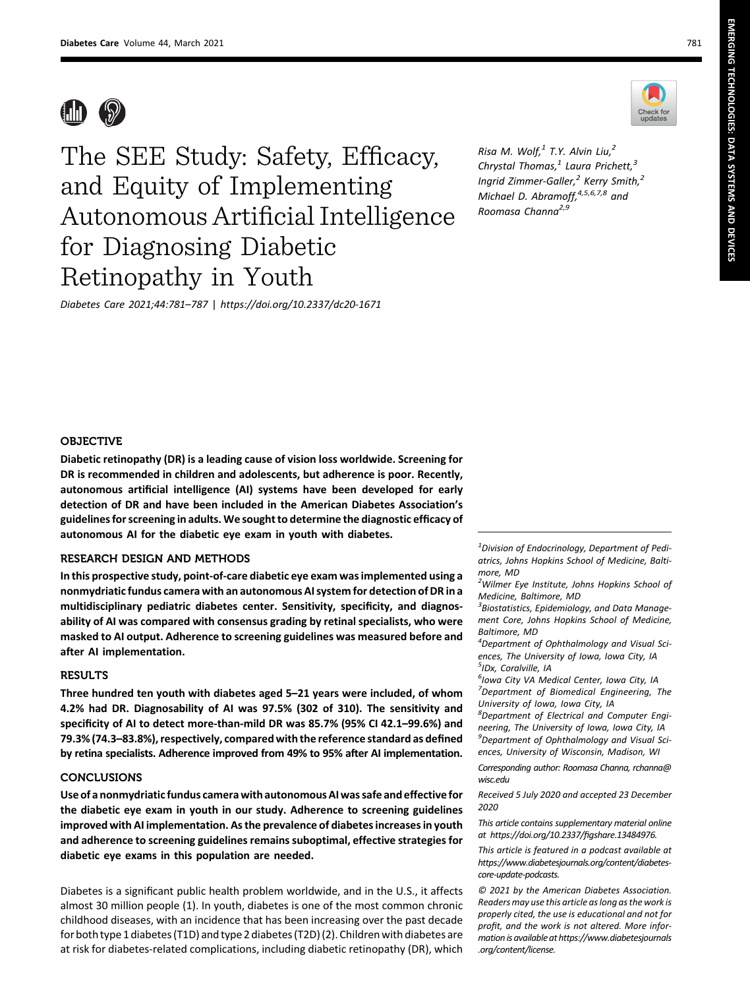EMERGING

TECHNOLOGIES:

DATA

SYSTEMS

AND

DEVICES



The SEE Study: Safety, Efficacy, and Equity of Implementing Autonomous Artificial Intelligence for Diagnosing Diabetic Retinopathy in Youth

Diabetes Care 2021;44:781–787 | <https://doi.org/10.2337/dc20-1671>

Check for

Risa M. Wolf, $^1$  T.Y. Alvin Liu, $^2$ Chrystal Thomas, $<sup>1</sup>$  Laura Prichett, $<sup>3</sup>$ </sup></sup> Ingrid Zimmer-Galler, $^2$  Kerry Smith, $^2$ Michael D. Abramoff, <sup>4,5,6,7,8</sup> and Roomasa Channa<sup>2,9</sup>





# **OBJECTIVE**

Diabetic retinopathy (DR) is a leading cause of vision loss worldwide. Screening for DR is recommended in children and adolescents, but adherence is poor. Recently, autonomous artificial intelligence (AI) systems have been developed for early detection of DR and have been included in the American Diabetes Association's guidelines for screening in adults. We sought to determine the diagnostic efficacy of autonomous AI for the diabetic eye exam in youth with diabetes.

# RESEARCH DESIGN AND METHODS

In this prospective study, point-of-care diabetic eye exam was implemented using a nonmydriatic fundus camera with an autonomous AI system for detection of DR in a multidisciplinary pediatric diabetes center. Sensitivity, specificity, and diagnosability of AI was compared with consensus grading by retinal specialists, who were masked to AI output. Adherence to screening guidelines was measured before and after AI implementation.

#### RESULTS

Three hundred ten youth with diabetes aged 5–21 years were included, of whom 4.2% had DR. Diagnosability of AI was 97.5% (302 of 310). The sensitivity and specificity of AI to detect more-than-mild DR was 85.7% (95% CI 42.1–99.6%) and 79.3% (74.3–83.8%), respectively, compared with the reference standard as defined by retina specialists. Adherence improved from 49% to 95% after AI implementation.

### CONCLUSIONS

Use of a nonmydriatic fundus camera with autonomous AI was safe and effective for the diabetic eye exam in youth in our study. Adherence to screening guidelines improved with AI implementation. As the prevalence of diabetes increases in youth and adherence to screening guidelines remains suboptimal, effective strategies for diabetic eye exams in this population are needed.

Diabetes is a significant public health problem worldwide, and in the U.S., it affects almost 30 million people (1). In youth, diabetes is one of the most common chronic childhood diseases, with an incidence that has been increasing over the past decade for both type 1 diabetes (T1D) and type 2 diabetes (T2D) (2). Children with diabetes are at risk for diabetes-related complications, including diabetic retinopathy (DR), which

 $^1$ Division of Endocrinology, Department of Pediatrics, Johns Hopkins School of Medicine, Baltimore, MD

<sup>2</sup>Wilmer Eye Institute, Johns Hopkins School of Medicine, Baltimore, MD

 ${}^{3}$ Biostatistics, Epidemiology, and Data Management Core, Johns Hopkins School of Medicine, Baltimore, MD

4 Department of Ophthalmology and Visual Sciences, The University of Iowa, Iowa City, IA <sup>5</sup>IDx, Coralville, IA

<sup>6</sup>Iowa City VA Medical Center, Iowa City, IA <sup>7</sup>Department of Biomedical Engineering, The University of Iowa, Iowa City, IA

8 Department of Electrical and Computer Engineering, The University of Iowa, Iowa City, IA 9 Department of Ophthalmology and Visual Sciences, University of Wisconsin, Madison, WI

Corresponding author: Roomasa Channa, [rchanna@](mailto:rchanna@wisc.edu) [wisc.edu](mailto:rchanna@wisc.edu)

Received 5 July 2020 and accepted 23 December 2020

This article contains supplementary material online at [https://doi.org/10.2337/](https://doi.org/10.2337/figshare.13484976)figshare.13484976.

This article is featured in a podcast available at [https://www.diabetesjournals.org/content/diabetes](https://www.diabetesjournals.org/content/diabetes-core-update-podcasts)[core-update-podcasts](https://www.diabetesjournals.org/content/diabetes-core-update-podcasts).

© 2021 by the American Diabetes Association. Readers may use this article as long as the work is properly cited, the use is educational and not for profit, and the work is not altered. More information is available at [https://www.diabetesjournals](https://www.diabetesjournals.org/content/license) [.org/content/license](https://www.diabetesjournals.org/content/license).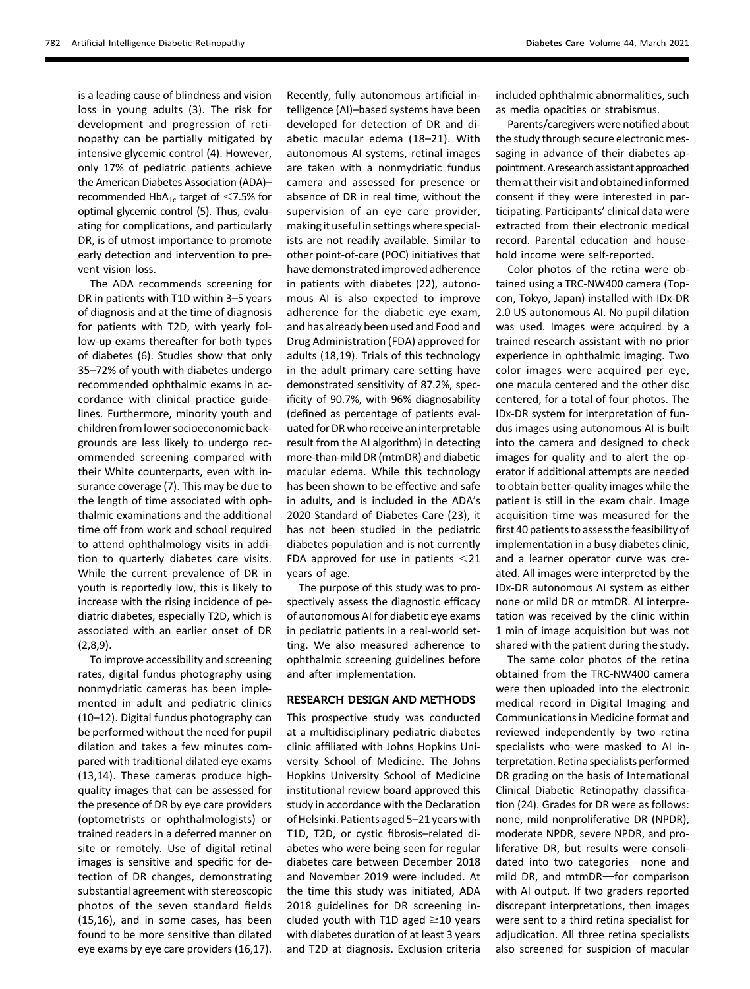is a leading cause of blindness and vision loss in young adults (3). The risk for development and progression of retinopathy can be partially mitigated by intensive glycemic control (4). However, only 17% of pediatric patients achieve the American Diabetes Association (ADA)– recommended  $HbA_{1c}$  target of <7.5% for optimal glycemic control (5). Thus, evaluating for complications, and particularly DR, is of utmost importance to promote early detection and intervention to prevent vision loss.

The ADA recommends screening for DR in patients with T1D within 3–5 years of diagnosis and at the time of diagnosis for patients with T2D, with yearly follow-up exams thereafter for both types of diabetes (6). Studies show that only 35–72% of youth with diabetes undergo recommended ophthalmic exams in accordance with clinical practice guidelines. Furthermore, minority youth and children from lower socioeconomic backgrounds are less likely to undergo recommended screening compared with their White counterparts, even with insurance coverage (7). This may be due to the length of time associated with ophthalmic examinations and the additional time off from work and school required to attend ophthalmology visits in addition to quarterly diabetes care visits. While the current prevalence of DR in youth is reportedly low, this is likely to increase with the rising incidence of pediatric diabetes, especially T2D, which is associated with an earlier onset of DR (2,8,9).

To improve accessibility and screening rates, digital fundus photography using nonmydriatic cameras has been implemented in adult and pediatric clinics (10–12). Digital fundus photography can be performed without the need for pupil dilation and takes a few minutes compared with traditional dilated eye exams (13,14). These cameras produce highquality images that can be assessed for the presence of DR by eye care providers (optometrists or ophthalmologists) or trained readers in a deferred manner on site or remotely. Use of digital retinal images is sensitive and specific for detection of DR changes, demonstrating substantial agreement with stereoscopic photos of the seven standard fields (15,16), and in some cases, has been found to be more sensitive than dilated eye exams by eye care providers (16,17).

Recently, fully autonomous artificial intelligence (AI)–based systems have been developed for detection of DR and diabetic macular edema (18–21). With autonomous AI systems, retinal images are taken with a nonmydriatic fundus camera and assessed for presence or absence of DR in real time, without the supervision of an eye care provider, making it useful in settings where specialists are not readily available. Similar to other point-of-care (POC) initiatives that have demonstrated improved adherence in patients with diabetes (22), autonomous AI is also expected to improve adherence for the diabetic eye exam, and has already been used and Food and Drug Administration (FDA) approved for adults (18,19). Trials of this technology in the adult primary care setting have demonstrated sensitivity of 87.2%, specificity of 90.7%, with 96% diagnosability (defined as percentage of patients evaluated for DR who receive an interpretable result from the AI algorithm) in detecting more-than-mild DR (mtmDR) and diabetic macular edema. While this technology has been shown to be effective and safe in adults, and is included in the ADA's 2020 Standard of Diabetes Care (23), it has not been studied in the pediatric diabetes population and is not currently FDA approved for use in patients  $<$ 21 years of age.

The purpose of this study was to prospectively assess the diagnostic efficacy of autonomous AI for diabetic eye exams in pediatric patients in a real-world setting. We also measured adherence to ophthalmic screening guidelines before and after implementation.

# RESEARCH DESIGN AND METHODS

This prospective study was conducted at a multidisciplinary pediatric diabetes clinic affiliated with Johns Hopkins University School of Medicine. The Johns Hopkins University School of Medicine institutional review board approved this study in accordance with the Declaration of Helsinki. Patients aged 5–21 years with T1D, T2D, or cystic fibrosis–related diabetes who were being seen for regular diabetes care between December 2018 and November 2019 were included. At the time this study was initiated, ADA 2018 guidelines for DR screening included youth with T1D aged  $\geq$ 10 years with diabetes duration of at least 3 years and T2D at diagnosis. Exclusion criteria included ophthalmic abnormalities, such as media opacities or strabismus.

Parents/caregivers were notified about the study through secure electronic messaging in advance of their diabetes appointment. A research assistant approached them at their visit and obtained informed consent if they were interested in participating. Participants' clinical data were extracted from their electronic medical record. Parental education and household income were self-reported.

Color photos of the retina were obtained using a TRC-NW400 camera (Topcon, Tokyo, Japan) installed with IDx-DR 2.0 US autonomous AI. No pupil dilation was used. Images were acquired by a trained research assistant with no prior experience in ophthalmic imaging. Two color images were acquired per eye, one macula centered and the other disc centered, for a total of four photos. The IDx-DR system for interpretation of fundus images using autonomous AI is built into the camera and designed to check images for quality and to alert the operator if additional attempts are needed to obtain better-quality images while the patient is still in the exam chair. Image acquisition time was measured for the first 40 patients to assess the feasibility of implementation in a busy diabetes clinic, and a learner operator curve was created. All images were interpreted by the IDx-DR autonomous AI system as either none or mild DR or mtmDR. AI interpretation was received by the clinic within 1 min of image acquisition but was not shared with the patient during the study.

The same color photos of the retina obtained from the TRC-NW400 camera were then uploaded into the electronic medical record in Digital Imaging and Communications in Medicine format and reviewed independently by two retina specialists who were masked to AI interpretation. Retina specialists performed DR grading on the basis of International Clinical Diabetic Retinopathy classification (24). Grades for DR were as follows: none, mild nonproliferative DR (NPDR), moderate NPDR, severe NPDR, and proliferative DR, but results were consolidated into two categories-none and mild DR, and mtmDR-for comparison with AI output. If two graders reported discrepant interpretations, then images were sent to a third retina specialist for adjudication. All three retina specialists also screened for suspicion of macular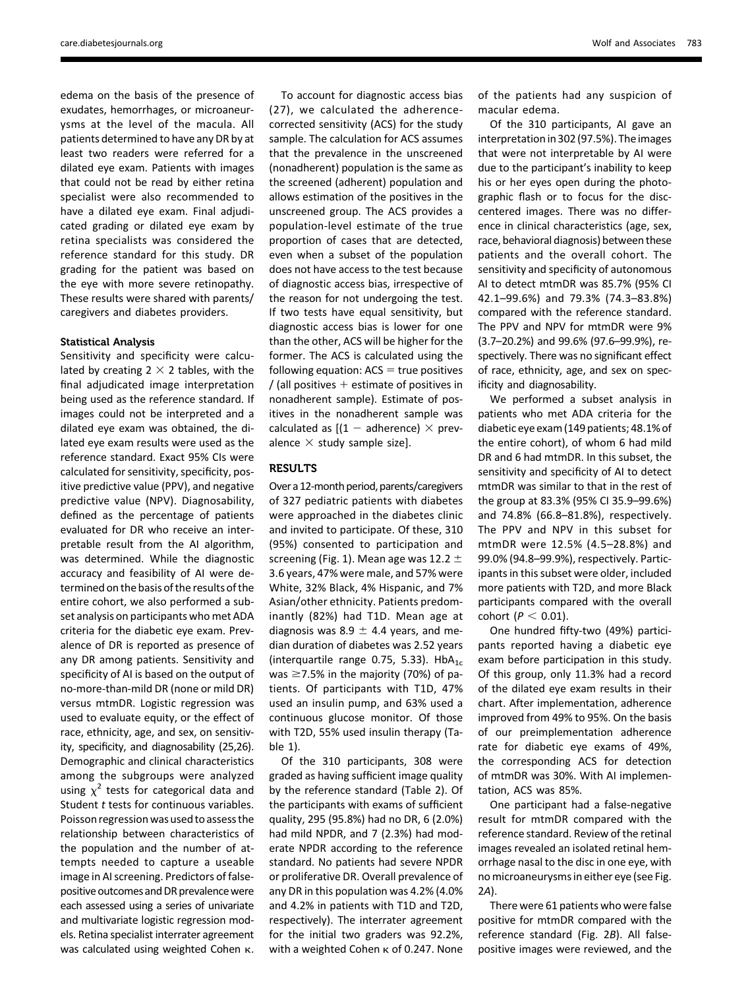edema on the basis of the presence of exudates, hemorrhages, or microaneurysms at the level of the macula. All patients determined to have any DR by at least two readers were referred for a dilated eye exam. Patients with images that could not be read by either retina specialist were also recommended to have a dilated eye exam. Final adjudicated grading or dilated eye exam by retina specialists was considered the reference standard for this study. DR grading for the patient was based on the eye with more severe retinopathy. These results were shared with parents/ caregivers and diabetes providers.

#### Statistical Analysis

Sensitivity and specificity were calculated by creating  $2 \times 2$  tables, with the final adjudicated image interpretation being used as the reference standard. If images could not be interpreted and a dilated eye exam was obtained, the dilated eye exam results were used as the reference standard. Exact 95% CIs were calculated for sensitivity, specificity, positive predictive value (PPV), and negative predictive value (NPV). Diagnosability, defined as the percentage of patients evaluated for DR who receive an interpretable result from the AI algorithm, was determined. While the diagnostic accuracy and feasibility of AI were determined on the basis of the results of the entire cohort, we also performed a subset analysis on participants who met ADA criteria for the diabetic eye exam. Prevalence of DR is reported as presence of any DR among patients. Sensitivity and specificity of AI is based on the output of no-more-than-mild DR (none or mild DR) versus mtmDR. Logistic regression was used to evaluate equity, or the effect of race, ethnicity, age, and sex, on sensitivity, specificity, and diagnosability (25,26). Demographic and clinical characteristics among the subgroups were analyzed using  $\chi^2$  tests for categorical data and Student  $t$  tests for continuous variables. Poisson regression was used to assess the relationship between characteristics of the population and the number of attempts needed to capture a useable image in AI screening. Predictors of falsepositive outcomes and DR prevalence were each assessed using a series of univariate and multivariate logistic regression models. Retina specialist interrater agreement was calculated using weighted Cohen k.

To account for diagnostic access bias (27), we calculated the adherencecorrected sensitivity (ACS) for the study sample. The calculation for ACS assumes that the prevalence in the unscreened (nonadherent) population is the same as the screened (adherent) population and allows estimation of the positives in the unscreened group. The ACS provides a population-level estimate of the true proportion of cases that are detected, even when a subset of the population does not have access to the test because of diagnostic access bias, irrespective of the reason for not undergoing the test. If two tests have equal sensitivity, but diagnostic access bias is lower for one than the other, ACS will be higher for the former. The ACS is calculated using the following equation:  $ACS = true$  positives / (all positives  $+$  estimate of positives in nonadherent sample). Estimate of positives in the nonadherent sample was calculated as  $[(1 - \text{adherence}) \times \text{prev-}$ alence  $\times$  study sample size].

# RESULTS

Over a 12-month period, parents/caregivers of 327 pediatric patients with diabetes were approached in the diabetes clinic and invited to participate. Of these, 310 (95%) consented to participation and screening (Fig. 1). Mean age was 12.2  $\pm$ 3.6 years, 47% were male, and 57% were White, 32% Black, 4% Hispanic, and 7% Asian/other ethnicity. Patients predominantly (82%) had T1D. Mean age at diagnosis was 8.9  $\pm$  4.4 years, and median duration of diabetes was 2.52 years (interquartile range 0.75, 5.33). HbA<sub>1c</sub> was  $\geq$ 7.5% in the majority (70%) of patients. Of participants with T1D, 47% used an insulin pump, and 63% used a continuous glucose monitor. Of those with T2D, 55% used insulin therapy (Table 1).

Of the 310 participants, 308 were graded as having sufficient image quality by the reference standard (Table 2). Of the participants with exams of sufficient quality, 295 (95.8%) had no DR, 6 (2.0%) had mild NPDR, and 7 (2.3%) had moderate NPDR according to the reference standard. No patients had severe NPDR or proliferative DR. Overall prevalence of any DR in this population was 4.2% (4.0% and 4.2% in patients with T1D and T2D, respectively). The interrater agreement for the initial two graders was 92.2%, with a weighted Cohen  $\kappa$  of 0.247. None

of the patients had any suspicion of macular edema.

Of the 310 participants, AI gave an interpretation in 302 (97.5%). The images that were not interpretable by AI were due to the participant's inability to keep his or her eyes open during the photographic flash or to focus for the disccentered images. There was no difference in clinical characteristics (age, sex, race, behavioral diagnosis) between these patients and the overall cohort. The sensitivity and specificity of autonomous AI to detect mtmDR was 85.7% (95% CI 42.1–99.6%) and 79.3% (74.3–83.8%) compared with the reference standard. The PPV and NPV for mtmDR were 9% (3.7–20.2%) and 99.6% (97.6–99.9%), respectively. There was no significant effect of race, ethnicity, age, and sex on specificity and diagnosability.

We performed a subset analysis in patients who met ADA criteria for the diabetic eye exam (149 patients; 48.1% of the entire cohort), of whom 6 had mild DR and 6 had mtmDR. In this subset, the sensitivity and specificity of AI to detect mtmDR was similar to that in the rest of the group at 83.3% (95% CI 35.9–99.6%) and 74.8% (66.8–81.8%), respectively. The PPV and NPV in this subset for mtmDR were 12.5% (4.5–28.8%) and 99.0% (94.8–99.9%), respectively. Participants in this subset were older, included more patients with T2D, and more Black participants compared with the overall cohort  $(P < 0.01)$ .

One hundred fifty-two (49%) participants reported having a diabetic eye exam before participation in this study. Of this group, only 11.3% had a record of the dilated eye exam results in their chart. After implementation, adherence improved from 49% to 95%. On the basis of our preimplementation adherence rate for diabetic eye exams of 49%, the corresponding ACS for detection of mtmDR was 30%. With AI implementation, ACS was 85%.

One participant had a false-negative result for mtmDR compared with the reference standard. Review of the retinal images revealed an isolated retinal hemorrhage nasal to the disc in one eye, with no microaneurysms in either eye (see Fig. 2A).

There were 61 patients who were false positive for mtmDR compared with the reference standard (Fig. 2B). All falsepositive images were reviewed, and the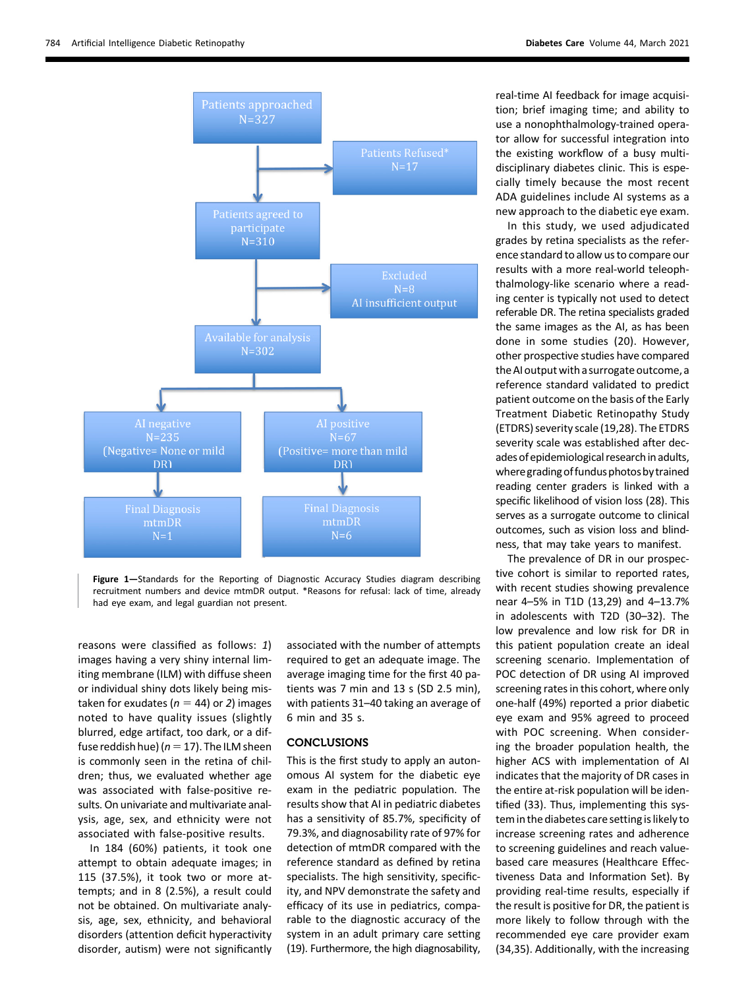

Figure 1—Standards for the Reporting of Diagnostic Accuracy Studies diagram describing recruitment numbers and device mtmDR output. \*Reasons for refusal: lack of time, already had eye exam, and legal guardian not present.

reasons were classified as follows: 1) images having a very shiny internal limiting membrane (ILM) with diffuse sheen or individual shiny dots likely being mistaken for exudates ( $n = 44$ ) or 2) images noted to have quality issues (slightly blurred, edge artifact, too dark, or a diffuse reddish hue) ( $n=17$ ). The ILM sheen is commonly seen in the retina of children; thus, we evaluated whether age was associated with false-positive results. On univariate and multivariate analysis, age, sex, and ethnicity were not associated with false-positive results.

In 184 (60%) patients, it took one attempt to obtain adequate images; in 115 (37.5%), it took two or more attempts; and in 8 (2.5%), a result could not be obtained. On multivariate analysis, age, sex, ethnicity, and behavioral disorders (attention deficit hyperactivity disorder, autism) were not significantly

associated with the number of attempts required to get an adequate image. The average imaging time for the first 40 patients was 7 min and 13 s (SD 2.5 min), with patients 31–40 taking an average of 6 min and 35 s.

## **CONCLUSIONS**

This is the first study to apply an autonomous AI system for the diabetic eye exam in the pediatric population. The results show that AI in pediatric diabetes has a sensitivity of 85.7%, specificity of 79.3%, and diagnosability rate of 97% for detection of mtmDR compared with the reference standard as defined by retina specialists. The high sensitivity, specificity, and NPV demonstrate the safety and efficacy of its use in pediatrics, comparable to the diagnostic accuracy of the system in an adult primary care setting (19). Furthermore, the high diagnosability,

real-time AI feedback for image acquisition; brief imaging time; and ability to use a nonophthalmology-trained operator allow for successful integration into the existing workflow of a busy multidisciplinary diabetes clinic. This is especially timely because the most recent ADA guidelines include AI systems as a new approach to the diabetic eye exam.

In this study, we used adjudicated grades by retina specialists as the reference standard to allow us to compare our results with a more real-world teleophthalmology-like scenario where a reading center is typically not used to detect referable DR. The retina specialists graded the same images as the AI, as has been done in some studies (20). However, other prospective studies have compared the AI output with a surrogate outcome, a reference standard validated to predict patient outcome on the basis of the Early Treatment Diabetic Retinopathy Study (ETDRS) severity scale (19,28). The ETDRS severity scale was established after decades of epidemiological research in adults, where grading of fundus photos by trained reading center graders is linked with a specific likelihood of vision loss (28). This serves as a surrogate outcome to clinical outcomes, such as vision loss and blindness, that may take years to manifest.

The prevalence of DR in our prospective cohort is similar to reported rates, with recent studies showing prevalence near 4–5% in T1D (13,29) and 4–13.7% in adolescents with T2D (30–32). The low prevalence and low risk for DR in this patient population create an ideal screening scenario. Implementation of POC detection of DR using AI improved screening rates in this cohort, where only one-half (49%) reported a prior diabetic eye exam and 95% agreed to proceed with POC screening. When considering the broader population health, the higher ACS with implementation of AI indicates that the majority of DR cases in the entire at-risk population will be identified (33). Thus, implementing this system in the diabetes care setting is likely to increase screening rates and adherence to screening guidelines and reach valuebased care measures (Healthcare Effectiveness Data and Information Set). By providing real-time results, especially if the result is positive for DR, the patient is more likely to follow through with the recommended eye care provider exam (34,35). Additionally, with the increasing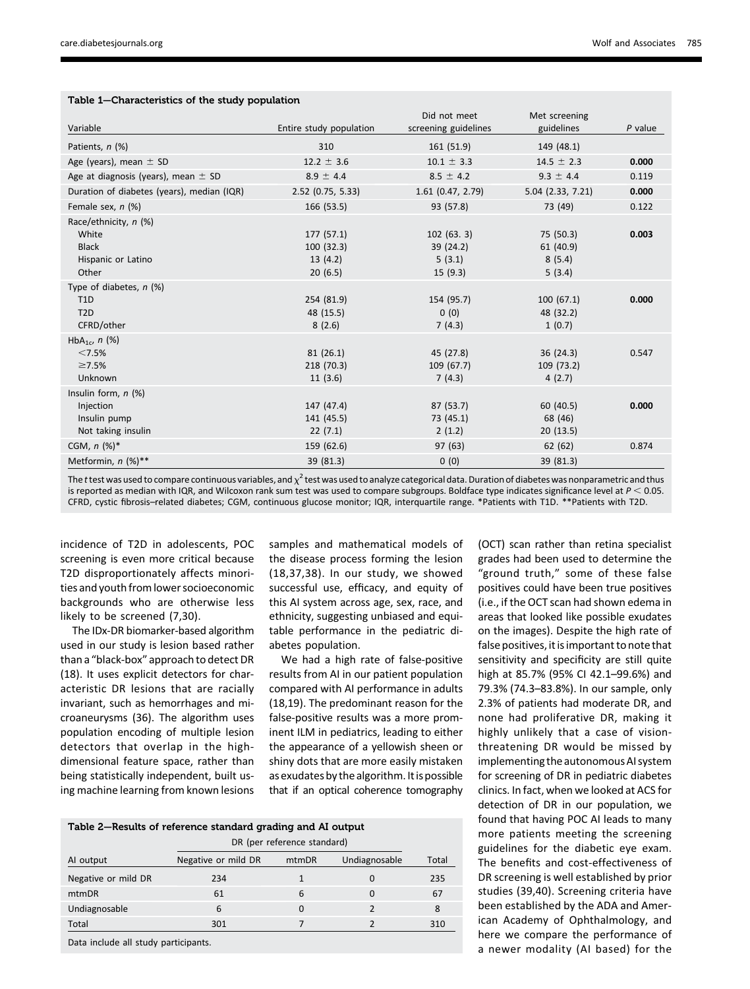|                                                                               |                                               | Did not meet                                | Met screening                              |           |
|-------------------------------------------------------------------------------|-----------------------------------------------|---------------------------------------------|--------------------------------------------|-----------|
| Variable                                                                      | Entire study population                       | screening guidelines                        | guidelines                                 | $P$ value |
| Patients, n (%)                                                               | 310                                           | 161 (51.9)                                  | 149 (48.1)                                 |           |
| Age (years), mean $\pm$ SD                                                    | $12.2 \pm 3.6$                                | $10.1 \pm 3.3$                              | $14.5 \pm 2.3$                             | 0.000     |
| Age at diagnosis (years), mean $\pm$ SD                                       | $8.9 \pm 4.4$                                 | $8.5 \pm 4.2$                               | $9.3 \pm 4.4$                              | 0.119     |
| Duration of diabetes (years), median (IQR)                                    | 2.52 (0.75, 5.33)                             | $1.61$ (0.47, 2.79)                         | 5.04 (2.33, 7.21)                          | 0.000     |
| Female sex, $n$ (%)                                                           | 166 (53.5)                                    | 93 (57.8)                                   | 73 (49)                                    | 0.122     |
| Race/ethnicity, n (%)<br>White<br><b>Black</b><br>Hispanic or Latino<br>Other | 177 (57.1)<br>100(32.3)<br>13(4.2)<br>20(6.5) | 102(63.3)<br>39 (24.2)<br>5(3.1)<br>15(9.3) | 75 (50.3)<br>61 (40.9)<br>8(5.4)<br>5(3.4) | 0.003     |
| Type of diabetes, $n$ (%)<br>T <sub>1</sub> D<br>T2D<br>CFRD/other            | 254 (81.9)<br>48 (15.5)<br>8(2.6)             | 154 (95.7)<br>0(0)<br>7(4.3)                | 100(67.1)<br>48 (32.2)<br>1(0.7)           | 0.000     |
| HbA <sub>1c</sub> , $n$ (%)<br>< 7.5%<br>$\geq 7.5\%$<br>Unknown              | 81(26.1)<br>218 (70.3)<br>11(3.6)             | 45 (27.8)<br>109(67.7)<br>7(4.3)            | 36(24.3)<br>109 (73.2)<br>4(2.7)           | 0.547     |
| Insulin form, $n$ (%)<br>Injection<br>Insulin pump<br>Not taking insulin      | 147 (47.4)<br>141 (45.5)<br>22(7.1)           | 87 (53.7)<br>73 (45.1)<br>2(1.2)            | 60 (40.5)<br>68 (46)<br>20(13.5)           | 0.000     |
| CGM, $n$ (%)*                                                                 | 159 (62.6)                                    | 97(63)                                      | 62(62)                                     | 0.874     |
| Metformin, n (%)**                                                            | 39 (81.3)                                     | 0(0)                                        | 39 (81.3)                                  |           |

## Table 1—Characteristics of the study population

The t test was used to compare continuous variables, and  $\chi^2$  test was used to analyze categorical data. Duration of diabetes was nonparametric and thus is reported as median with IQR, and Wilcoxon rank sum test was used to compare subgroups. Boldface type indicates significance level at  $P < 0.05$ . CFRD, cystic fibrosis–related diabetes; CGM, continuous glucose monitor; IQR, interquartile range. \*Patients with T1D. \*\*Patients with T2D.

incidence of T2D in adolescents, POC screening is even more critical because T2D disproportionately affects minorities and youth from lower socioeconomic backgrounds who are otherwise less likely to be screened (7,30).

The IDx-DR biomarker-based algorithm used in our study is lesion based rather than a "black-box" approach to detect DR (18). It uses explicit detectors for characteristic DR lesions that are racially invariant, such as hemorrhages and microaneurysms (36). The algorithm uses population encoding of multiple lesion detectors that overlap in the highdimensional feature space, rather than being statistically independent, built using machine learning from known lesions

samples and mathematical models of the disease process forming the lesion (18,37,38). In our study, we showed successful use, efficacy, and equity of this AI system across age, sex, race, and ethnicity, suggesting unbiased and equitable performance in the pediatric diabetes population.

We had a high rate of false-positive results from AI in our patient population compared with AI performance in adults (18,19). The predominant reason for the false-positive results was a more prominent ILM in pediatrics, leading to either the appearance of a yellowish sheen or shiny dots that are more easily mistaken as exudates by the algorithm. It is possible that if an optical coherence tomography

|                                     | DR (per reference standard) |       |               |       |  |  |  |
|-------------------------------------|-----------------------------|-------|---------------|-------|--|--|--|
| Al output                           | Negative or mild DR         | mtmDR | Undiagnosable | Total |  |  |  |
| Negative or mild DR                 | 234                         |       | $\Omega$      | 235   |  |  |  |
| mtmDR                               | 61                          | 6     | $\Omega$      | 67    |  |  |  |
| Undiagnosable                       | 6                           | O     | っ             | 8     |  |  |  |
| Total                               | 301                         |       |               | 310   |  |  |  |
| Data include all study participants |                             |       |               |       |  |  |  |

Data include all study participants.

(OCT) scan rather than retina specialist grades had been used to determine the "ground truth," some of these false positives could have been true positives (i.e., if the OCT scan had shown edema in areas that looked like possible exudates on the images). Despite the high rate of false positives, it is important to note that sensitivity and specificity are still quite high at 85.7% (95% CI 42.1–99.6%) and 79.3% (74.3–83.8%). In our sample, only 2.3% of patients had moderate DR, and none had proliferative DR, making it highly unlikely that a case of visionthreatening DR would be missed by implementing the autonomous AI system for screening of DR in pediatric diabetes clinics. In fact, when we looked at ACS for detection of DR in our population, we found that having POC AI leads to many more patients meeting the screening guidelines for the diabetic eye exam. The benefits and cost-effectiveness of DR screening is well established by prior studies (39,40). Screening criteria have been established by the ADA and American Academy of Ophthalmology, and here we compare the performance of a newer modality (AI based) for the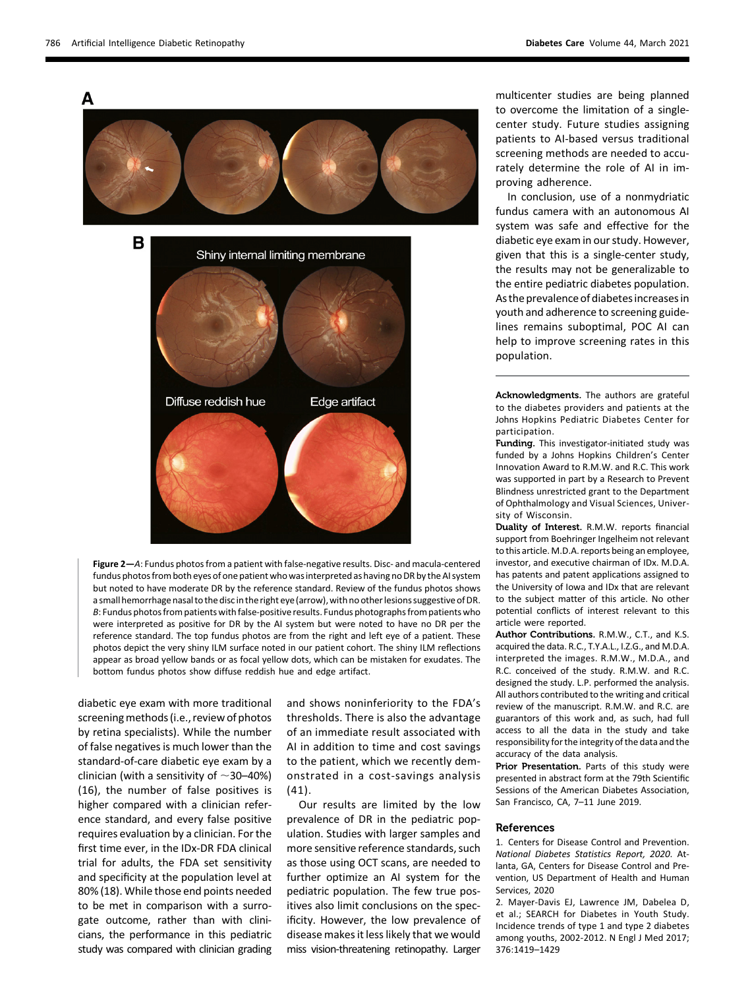

Figure 2—A: Fundus photos from a patient with false-negative results. Disc- and macula-centered fundus photos from both eyes of one patient who was interpreted as having no DR by the AI system but noted to have moderate DR by the reference standard. Review of the fundus photos shows a small hemorrhage nasal to the disc in the right eye (arrow), with no other lesions suggestive of DR. B: Fundus photos from patients with false-positive results. Fundus photographs from patients who were interpreted as positive for DR by the AI system but were noted to have no DR per the reference standard. The top fundus photos are from the right and left eye of a patient. These photos depict the very shiny ILM surface noted in our patient cohort. The shiny ILM reflections appear as broad yellow bands or as focal yellow dots, which can be mistaken for exudates. The bottom fundus photos show diffuse reddish hue and edge artifact.

diabetic eye exam with more traditional screening methods (i.e., review of photos by retina specialists). While the number of false negatives is much lower than the standard-of-care diabetic eye exam by a clinician (with a sensitivity of  $\sim$ 30–40%) (16), the number of false positives is higher compared with a clinician reference standard, and every false positive requires evaluation by a clinician. For the first time ever, in the IDx-DR FDA clinical trial for adults, the FDA set sensitivity and specificity at the population level at 80% (18). While those end points needed to be met in comparison with a surrogate outcome, rather than with clinicians, the performance in this pediatric study was compared with clinician grading

and shows noninferiority to the FDA's thresholds. There is also the advantage of an immediate result associated with AI in addition to time and cost savings to the patient, which we recently demonstrated in a cost-savings analysis (41).

Our results are limited by the low prevalence of DR in the pediatric population. Studies with larger samples and more sensitive reference standards, such as those using OCT scans, are needed to further optimize an AI system for the pediatric population. The few true positives also limit conclusions on the specificity. However, the low prevalence of disease makes it less likely that we would miss vision-threatening retinopathy. Larger

multicenter studies are being planned to overcome the limitation of a singlecenter study. Future studies assigning patients to AI-based versus traditional screening methods are needed to accurately determine the role of AI in improving adherence.

In conclusion, use of a nonmydriatic fundus camera with an autonomous AI system was safe and effective for the diabetic eye exam in our study. However, given that this is a single-center study, the results may not be generalizable to the entire pediatric diabetes population. As the prevalence of diabetes increases in youth and adherence to screening guidelines remains suboptimal, POC AI can help to improve screening rates in this population.

Acknowledgments. The authors are grateful to the diabetes providers and patients at the Johns Hopkins Pediatric Diabetes Center for participation.

Funding. This investigator-initiated study was funded by a Johns Hopkins Children's Center Innovation Award to R.M.W. and R.C. This work was supported in part by a Research to Prevent Blindness unrestricted grant to the Department of Ophthalmology and Visual Sciences, University of Wisconsin.

Duality of Interest. R.M.W. reports financial support from Boehringer Ingelheim not relevant to this article. M.D.A. reports being an employee, investor, and executive chairman of IDx. M.D.A. has patents and patent applications assigned to the University of Iowa and IDx that are relevant to the subject matter of this article. No other potential conflicts of interest relevant to this article were reported.

Author Contributions. R.M.W., C.T., and K.S. acquired the data. R.C., T.Y.A.L., I.Z.G., and M.D.A. interpreted the images. R.M.W., M.D.A., and R.C. conceived of the study. R.M.W. and R.C. designed the study. L.P. performed the analysis. All authors contributed to the writing and critical review of the manuscript. R.M.W. and R.C. are guarantors of this work and, as such, had full access to all the data in the study and take responsibility for the integrity of the data and the accuracy of the data analysis.

Prior Presentation. Parts of this study were presented in abstract form at the 79th Scientific Sessions of the American Diabetes Association, San Francisco, CA, 7–11 June 2019.

#### References

1. Centers for Disease Control and Prevention. National Diabetes Statistics Report, 2020. Atlanta, GA, Centers for Disease Control and Prevention, US Department of Health and Human Services, 2020

2. Mayer-Davis EJ, Lawrence JM, Dabelea D, et al.; SEARCH for Diabetes in Youth Study. Incidence trends of type 1 and type 2 diabetes among youths, 2002-2012. N Engl J Med 2017; 376:1419–1429